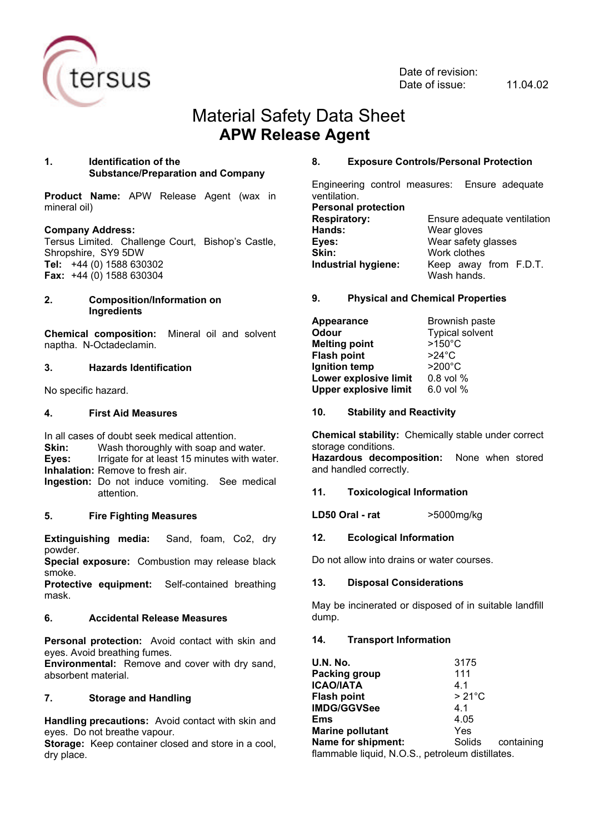

Date of revision: Date of issue: 11.04.02

# Material Safety Data Sheet **APW Release Agent**

## **1. Identification of the Substance/Preparation and Company**

**Product Name:** APW Release Agent (wax in mineral oil)

# **Company Address:**

Tersus Limited. Challenge Court, Bishop's Castle, Shropshire, SY9 5DW **Tel:** +44 (0) 1588 630302 **Fax:** +44 (0) 1588 630304

#### **2. Composition/Information on Ingredients**

**Chemical composition:** Mineral oil and solvent naptha. N-Octadeclamin.

# **3. Hazards Identification**

No specific hazard.

#### **4. First Aid Measures**

In all cases of doubt seek medical attention.

**Skin:** Wash thoroughly with soap and water.

**Eyes:** Irrigate for at least 15 minutes with water.

**Inhalation:** Remove to fresh air.

**Ingestion:** Do not induce vomiting. See medical attention.

# **5. Fire Fighting Measures**

**Extinguishing media:** Sand, foam, Co2, dry powder.

**Special exposure:** Combustion may release black smoke.

**Protective equipment:** Self-contained breathing mask.

# **6. Accidental Release Measures**

**Personal protection:** Avoid contact with skin and eyes. Avoid breathing fumes.

**Environmental:** Remove and cover with dry sand, absorbent material.

# **7. Storage and Handling**

**Handling precautions:** Avoid contact with skin and eyes. Do not breathe vapour.

**Storage:** Keep container closed and store in a cool, dry place.

#### **8. Exposure Controls/Personal Protection**

Engineering control measures: Ensure adequate ventilation. **Personal protection**

**Hands:** Wear gloves **Eyes:** Wear safety glasses **Skin:** Work clothes

**Respiratory:** Ensure adequate ventilation **Industrial hygiene:** Keep away from F.D.T. Wash hands.

#### **9. Physical and Chemical Properties**

**Appearance** Brownish paste **Odour** Typical solvent<br> **Melting point** 2150°C **Melting point Flash point** >24°C **Ignition temp Lower explosive limit** 0.8 vol % **Upper explosive limit** 6.0 vol %

#### **10. Stability and Reactivity**

**Chemical stability:** Chemically stable under correct storage conditions. **Hazardous decomposition:** None when stored and handled correctly.

# **11. Toxicological Information**

**LD50 Oral - rat** >5000mg/kg

**12. Ecological Information**

Do not allow into drains or water courses.

# **13. Disposal Considerations**

May be incinerated or disposed of in suitable landfill dump.

# **14. Transport Information**

| <b>U.N. No.</b>                                  | 3175            |            |
|--------------------------------------------------|-----------------|------------|
| Packing group                                    | 111             |            |
| <b>ICAO/IATA</b>                                 | 4.1             |            |
| <b>Flash point</b>                               | $>21^{\circ}$ C |            |
| IMDG/GGVSee                                      | 4.1             |            |
| <b>Ems</b>                                       | 4.05            |            |
| <b>Marine pollutant</b>                          | Yes             |            |
| Name for shipment:                               | Solids          | containing |
| flammable liquid, N.O.S., petroleum distillates. |                 |            |